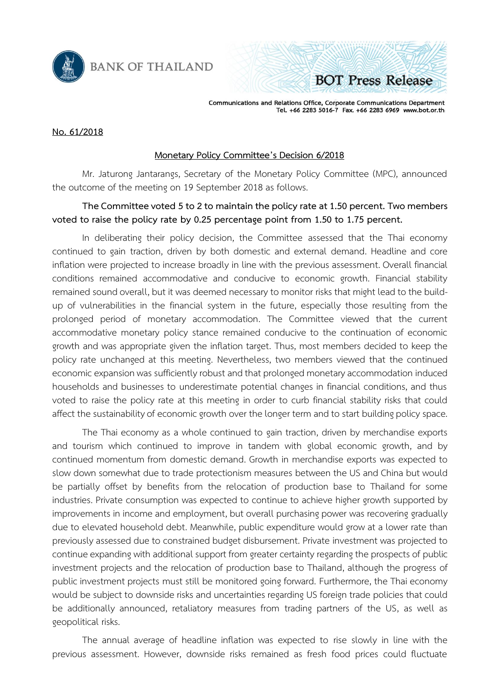

**BANK OF THAILAND** 

Communications and Relations Office, Corporate Communications Department Tel. +66 2283 5016-7 Fax. +66 2283 6969 www.bot.or.th

**BOT Press Release** 

### **No. 61/2018**

### **Monetary Policy Committee's Decision 6/2018**

Mr. Jaturong Jantarangs, Secretary of the Monetary Policy Committee (MPC), announced the outcome of the meeting on 19 September 2018 as follows.

## **The Committee voted 5to 2to maintain the policy rate at 1.50 percent. Two members voted to raise the policy rate by 0.25 percentage point from 1.50 to 1.75 percent.**

In deliberating their policy decision, the Committee assessed that the Thai economy continued to gain traction, driven by both domestic and external demand. Headline and core inflation were projected to increase broadly in line with the previous assessment. Overall financial conditions remained accommodative and conducive to economic growth. Financial stability remained sound overall, but it was deemed necessary to monitor risks that might lead to the buildup of vulnerabilities in the financial system in the future, especially those resulting from the prolonged period of monetary accommodation. The Committee viewed that the current accommodative monetary policy stance remained conducive to the continuation of economic growth and was appropriate given the inflation target. Thus, most members decided to keep the policy rate unchanged at this meeting. Nevertheless, two members viewed that the continued economic expansion was sufficiently robust and that prolonged monetary accommodation induced households and businesses to underestimate potential changes in financial conditions, and thus voted to raise the policy rate at this meeting in order to curb financial stability risks that could affect the sustainability of economic growth over the longer term and to start building policy space.

The Thai economy as a whole continued to gain traction, driven by merchandise exports and tourism which continued to improve in tandem with global economic growth, and by continued momentum from domestic demand. Growth in merchandise exports was expected to slow down somewhat due to trade protectionism measures between the US and China but would be partially offset by benefits from the relocation of production base to Thailand for some industries. Private consumption was expected to continue to achieve higher growth supported by improvements in income and employment, but overall purchasing power was recovering gradually due to elevated household debt. Meanwhile, public expenditure would grow at a lower rate than previously assessed due to constrained budget disbursement. Private investment was projected to continue expanding with additional support from greater certainty regarding the prospects of public investment projects and the relocation of production base to Thailand, although the progress of public investment projects must still be monitored going forward. Furthermore, the Thai economy would be subject to downside risks and uncertainties regarding US foreign trade policies that could be additionally announced, retaliatory measures from trading partners of the US, as well as geopolitical risks.

The annual average of headline inflation was expected to rise slowly in line with the previous assessment. However, downside risks remained as fresh food prices could fluctuate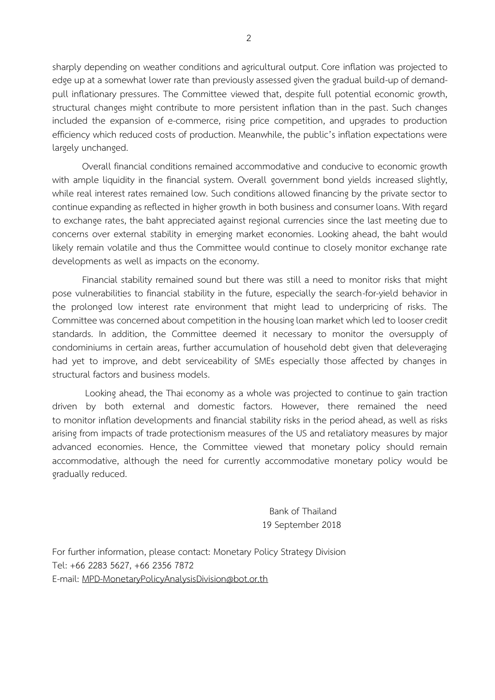sharply depending on weather conditions and agricultural output. Core inflation was projected to edge up at a somewhat lower rate than previously assessed given the gradual build-up of demandpull inflationary pressures. The Committee viewed that, despite full potential economic growth, structural changes might contribute to more persistent inflation than in the past. Such changes included the expansion of e-commerce, rising price competition, and upgrades to production efficiency which reduced costs of production. Meanwhile, the public's inflation expectations were largely unchanged.

Overall financial conditions remained accommodative and conducive to economic growth with ample liquidity in the financial system. Overall government bond yields increased slightly, while real interest rates remained low. Such conditions allowed financing by the private sector to continue expanding as reflected in higher growth in both business and consumer loans. With regard to exchange rates, the baht appreciated against regional currencies since the last meeting due to concerns over external stability in emerging market economies. Looking ahead, the baht would likely remain volatile and thus the Committee would continue to closely monitor exchange rate developments as well as impacts on the economy.

Financial stability remained sound but there was still a need to monitor risks that might pose vulnerabilities to financial stability in the future, especially the search-for-yield behavior in the prolonged low interest rate environment that might lead to underpricing of risks. The Committee was concerned about competition in the housing loan market which led to looser credit standards. In addition, the Committee deemed it necessary to monitor the oversupply of condominiums in certain areas, further accumulation of household debt given that deleveraging had yet to improve, and debt serviceability of SMEs especially those affected by changes in structural factors and business models.

Looking ahead, the Thai economy as a whole was projected to continue to gain traction driven by both external and domestic factors. However, there remained the need to monitor inflation developments and financial stability risks in the period ahead, as well as risks arising from impacts of trade protectionism measures of the US and retaliatory measures by major advanced economies. Hence, the Committee viewed that monetary policy should remain accommodative, although the need for currently accommodative monetary policy would be gradually reduced.

> Bank of Thailand 19 September 2018

For further information, please contact: Monetary Policy Strategy Division Tel: +66 2283 5627, +66 2356 7872 E-mail: [MPD-MonetaryPolicyAnalysisDivision@bot.or.th](mailto:MPD-MonetaryPolicyAnalysisDivision@bot.or.th)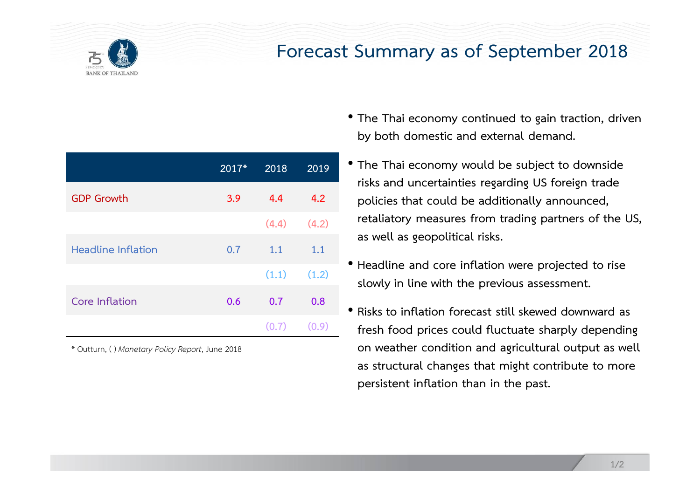

# **Forecast Summary as of September 2018**

|                           | 2017* | 2018  | 2019  |
|---------------------------|-------|-------|-------|
| <b>GDP Growth</b>         | 3.9   | 4.4   | 4.2   |
|                           |       | (4.4) | (4.2) |
| <b>Headline Inflation</b> | 0.7   | 1.1   | 1.1   |
|                           |       | (1.1) | (1.2) |
| Core Inflation            | 0.6   | 0.7   | 0.8   |
|                           |       | (0.7) | (0.9) |

\* Outturn, ( ) *Monetary Policy Report*, June 2018

- **The Thai economy continued to gain traction, driven by both domestic and external demand.**
- **The Thai economy would be subject to downside risks and uncertainties regarding US foreign trade policies that could be additionally announced, retaliatory measures from trading partners of the US, as well as geopolitical risks.**
- **Headline and core inflation were projected to rise slowly in line with the previous assessment.**
- **Risks to inflation forecast still skewed downward as fresh food prices could fluctuate sharply depending on weather condition and agricultural output as well as structural changes that might contribute to more persistent inflation than in the past.**